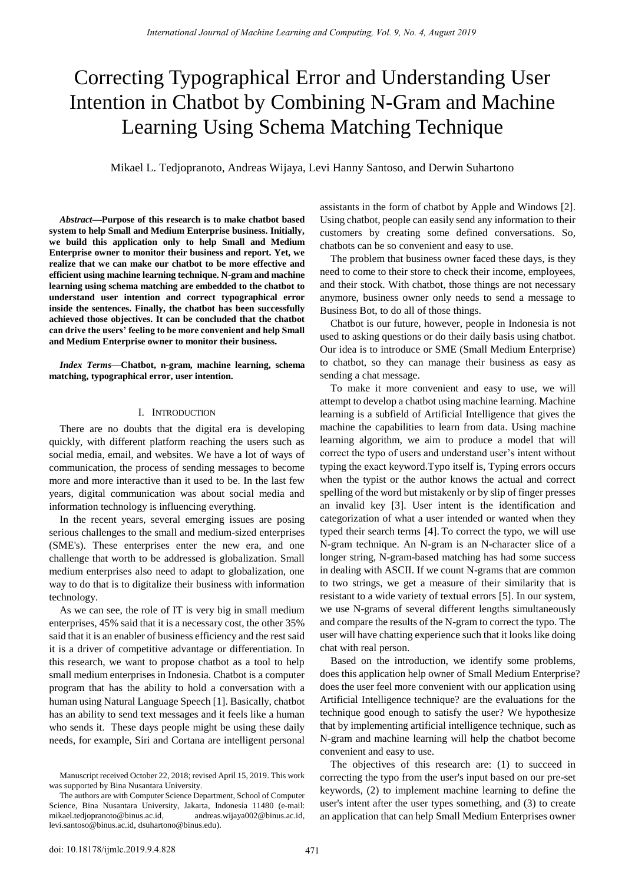# Correcting Typographical Error and Understanding User Intention in Chatbot by Combining N-Gram and Machine Learning Using Schema Matching Technique

Mikael L. Tedjopranoto, Andreas Wijaya, Levi Hanny Santoso, and Derwin Suhartono

*Abstract***—Purpose of this research is to make chatbot based system to help Small and Medium Enterprise business. Initially, we build this application only to help Small and Medium Enterprise owner to monitor their business and report. Yet, we realize that we can make our chatbot to be more effective and efficient using machine learning technique. N-gram and machine learning using schema matching are embedded to the chatbot to understand user intention and correct typographical error inside the sentences. Finally, the chatbot has been successfully achieved those objectives. It can be concluded that the chatbot can drive the users' feeling to be more convenient and help Small and Medium Enterprise owner to monitor their business.**

*Index Terms***—Chatbot, n-gram, machine learning, schema matching, typographical error, user intention.**

# I. INTRODUCTION

There are no doubts that the digital era is developing quickly, with different platform reaching the users such as social media, email, and websites. We have a lot of ways of communication, the process of sending messages to become more and more interactive than it used to be. In the last few years, digital communication was about social media and information technology is influencing everything.

In the recent years, several emerging issues are posing serious challenges to the small and medium-sized enterprises (SME's). These enterprises enter the new era, and one challenge that worth to be addressed is globalization. Small medium enterprises also need to adapt to globalization, one way to do that is to digitalize their business with information technology.

As we can see, the role of IT is very big in small medium enterprises, 45% said that it is a necessary cost, the other 35% said that it is an enabler of business efficiency and the rest said it is a driver of competitive advantage or differentiation. In this research, we want to propose chatbot as a tool to help small medium enterprises in Indonesia. Chatbot is a computer program that has the ability to hold a conversation with a human using Natural Language Speech [1]. Basically, chatbot has an ability to send text messages and it feels like a human who sends it. These days people might be using these daily needs, for example, Siri and Cortana are intelligent personal

assistants in the form of chatbot by Apple and Windows [2]. Using chatbot, people can easily send any information to their customers by creating some defined conversations. So, chatbots can be so convenient and easy to use.

The problem that business owner faced these days, is they need to come to their store to check their income, employees, and their stock. With chatbot, those things are not necessary anymore, business owner only needs to send a message to Business Bot, to do all of those things.

Chatbot is our future, however, people in Indonesia is not used to asking questions or do their daily basis using chatbot. Our idea is to introduce or SME (Small Medium Enterprise) to chatbot, so they can manage their business as easy as sending a chat message.

To make it more convenient and easy to use, we will attempt to develop a chatbot using machine learning. Machine learning is a subfield of Artificial Intelligence that gives the machine the capabilities to learn from data. Using machine learning algorithm, we aim to produce a model that will correct the typo of users and understand user's intent without typing the exact keyword.Typo itself is, Typing errors occurs when the typist or the author knows the actual and correct spelling of the word but mistakenly or by slip of finger presses an invalid key [3]. User intent is the identification and categorization of what a user intended or wanted when they typed their search terms [4]. To correct the typo, we will use N-gram technique. An N-gram is an N-character slice of a longer string, N-gram-based matching has had some success in dealing with ASCII. If we count N-grams that are common to two strings, we get a measure of their similarity that is resistant to a wide variety of textual errors [5]. In our system, we use N-grams of several different lengths simultaneously and compare the results of the N-gram to correct the typo. The user will have chatting experience such that it looks like doing chat with real person.

Based on the introduction, we identify some problems, does this application help owner of Small Medium Enterprise? does the user feel more convenient with our application using Artificial Intelligence technique? are the evaluations for the technique good enough to satisfy the user? We hypothesize that by implementing artificial intelligence technique, such as N-gram and machine learning will help the chatbot become convenient and easy to use.

The objectives of this research are: (1) to succeed in correcting the typo from the user's input based on our pre-set keywords, (2) to implement machine learning to define the user's intent after the user types something, and (3) to create an application that can help Small Medium Enterprises owner

Manuscript received October 22, 2018; revised April 15, 2019. This work was supported by Bina Nusantara University.

The authors are with Computer Science Department, School of Computer Science, Bina Nusantara University, Jakarta, Indonesia 11480 (e-mail: [mikael.tedjopranoto@binus.ac.id,](mailto:mikael.tedjopranoto@binus.ac.id) [andreas.wijaya002@binus.ac.id,](mailto:andreas.wijaya002@binus.ac.id)  [levi.santoso@binus.ac.id,](mailto:levi.santoso@binus.ac.id) dsuhartono@binus.edu).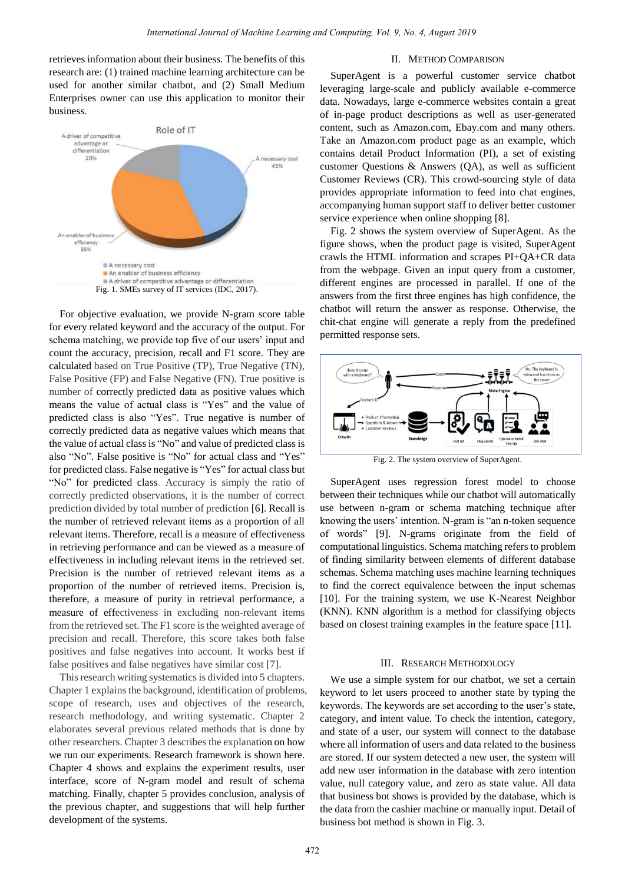retrieves information about their business. The benefits of this research are: (1) trained machine learning architecture can be used for another similar chatbot, and (2) Small Medium Enterprises owner can use this application to monitor their business.



For objective evaluation, we provide N-gram score table for every related keyword and the accuracy of the output. For schema matching, we provide top five of our users' input and count the accuracy, precision, recall and F1 score. They are calculated based on True Positive (TP), True Negative (TN), False Positive (FP) and False Negative (FN). True positive is number of correctly predicted data as positive values which means the value of actual class is "Yes" and the value of predicted class is also "Yes". True negative is number of correctly predicted data as negative values which means that the value of actual class is "No" and value of predicted class is also "No". False positive is "No" for actual class and "Yes" for predicted class. False negative is "Yes" for actual class but "No" for predicted class. Accuracy is simply the ratio of correctly predicted observations, it is the number of correct prediction divided by total number of prediction [6]. Recall is the number of retrieved relevant items as a proportion of all relevant items. Therefore, recall is a measure of effectiveness in retrieving performance and can be viewed as a measure of effectiveness in including relevant items in the retrieved set. Precision is the number of retrieved relevant items as a proportion of the number of retrieved items. Precision is, therefore, a measure of purity in retrieval performance, a measure of effectiveness in excluding non-relevant items from the retrieved set. The F1 score is the weighted average of precision and recall. Therefore, this score takes both false positives and false negatives into account. It works best if false positives and false negatives have similar cost [7].

This research writing systematics is divided into 5 chapters. Chapter 1 explains the background, identification of problems, scope of research, uses and objectives of the research, research methodology, and writing systematic. Chapter 2 elaborates several previous related methods that is done by other researchers. Chapter 3 describes the explanation on how we run our experiments. Research framework is shown here. Chapter 4 shows and explains the experiment results, user interface, score of N-gram model and result of schema matching. Finally, chapter 5 provides conclusion, analysis of the previous chapter, and suggestions that will help further development of the systems.

# II. METHOD COMPARISON

SuperAgent is a powerful customer service chatbot leveraging large-scale and publicly available e-commerce data. Nowadays, large e-commerce websites contain a great of in-page product descriptions as well as user-generated content, such as Amazon.com, Ebay.com and many others. Take an Amazon.com product page as an example, which contains detail Product Information (PI), a set of existing customer Questions & Answers (QA), as well as sufficient Customer Reviews (CR). This crowd-sourcing style of data provides appropriate information to feed into chat engines, accompanying human support staff to deliver better customer service experience when online shopping [8].

Fig. 2 shows the system overview of SuperAgent. As the figure shows, when the product page is visited, SuperAgent crawls the HTML information and scrapes PI+QA+CR data from the webpage. Given an input query from a customer, different engines are processed in parallel. If one of the answers from the first three engines has high confidence, the chatbot will return the answer as response. Otherwise, the chit-chat engine will generate a reply from the predefined permitted response sets.



Fig. 2. The system overview of SuperAgent.

SuperAgent uses regression forest model to choose between their techniques while our chatbot will automatically use between n-gram or schema matching technique after knowing the users' intention. N-gram is "an n-token sequence of words" [9]. N-grams originate from the field of computational linguistics. Schema matching refers to problem of finding similarity between elements of different database schemas. Schema matching uses machine learning techniques to find the correct equivalence between the input schemas [10]. For the training system, we use K-Nearest Neighbor (KNN). KNN algorithm is a method for classifying objects based on closest training examples in the feature space [11].

#### III. RESEARCH METHODOLOGY

We use a simple system for our chatbot, we set a certain keyword to let users proceed to another state by typing the keywords. The keywords are set according to the user's state, category, and intent value. To check the intention, category, and state of a user, our system will connect to the database where all information of users and data related to the business are stored. If our system detected a new user, the system will add new user information in the database with zero intention value, null category value, and zero as state value. All data that business bot shows is provided by the database, which is the data from the cashier machine or manually input. Detail of business bot method is shown in Fig. 3.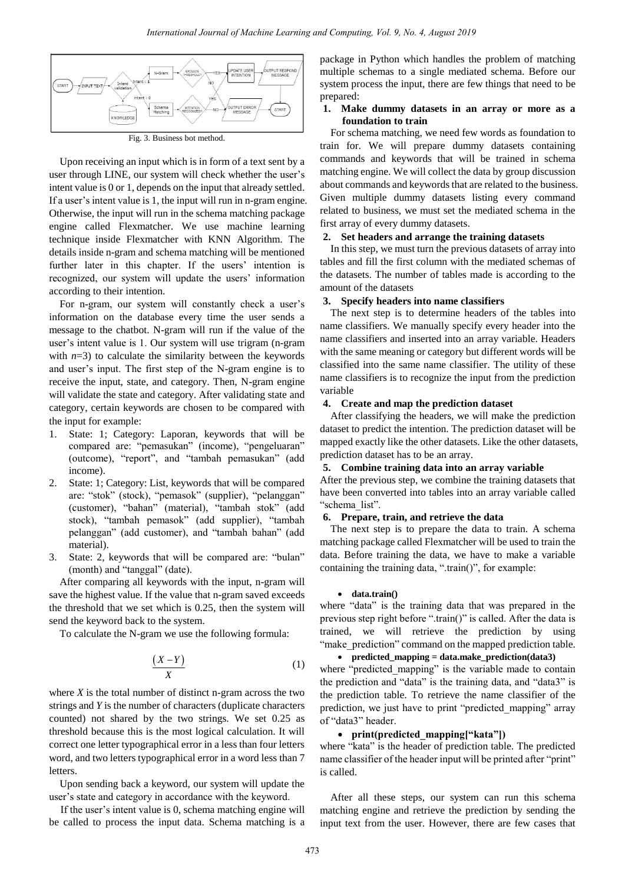

Fig. 3. Business bot method.

Upon receiving an input which is in form of a text sent by a user through LINE, our system will check whether the user's intent value is 0 or 1, depends on the input that already settled. If a user's intent value is 1, the input will run in n-gram engine. Otherwise, the input will run in the schema matching package engine called Flexmatcher. We use machine learning technique inside Flexmatcher with KNN Algorithm. The details inside n-gram and schema matching will be mentioned further later in this chapter. If the users' intention is recognized, our system will update the users' information according to their intention.

For n-gram, our system will constantly check a user's information on the database every time the user sends a message to the chatbot. N-gram will run if the value of the user's intent value is 1. Our system will use trigram (n-gram with  $n=3$ ) to calculate the similarity between the keywords and user's input. The first step of the N-gram engine is to receive the input, state, and category. Then, N-gram engine will validate the state and category. After validating state and category, certain keywords are chosen to be compared with the input for example:

- 1. State: 1; Category: Laporan, keywords that will be compared are: "pemasukan" (income), "pengeluaran" (outcome), "report", and "tambah pemasukan" (add income).
- 2. State: 1; Category: List, keywords that will be compared are: "stok" (stock), "pemasok" (supplier), "pelanggan" (customer), "bahan" (material), "tambah stok" (add stock), "tambah pemasok" (add supplier), "tambah pelanggan" (add customer), and "tambah bahan" (add material).
- 3. State: 2, keywords that will be compared are: "bulan" (month) and "tanggal" (date).

After comparing all keywords with the input, n-gram will save the highest value. If the value that n-gram saved exceeds the threshold that we set which is 0.25, then the system will send the keyword back to the system.

To calculate the N-gram we use the following formula:

$$
\frac{(X-Y)}{X}
$$
 (1)

where  $X$  is the total number of distinct n-gram across the two strings and *Y* is the number of characters (duplicate characters counted) not shared by the two strings. We set 0.25 as threshold because this is the most logical calculation. It will correct one letter typographical error in a less than four letters word, and two letters typographical error in a word less than 7 letters.

Upon sending back a keyword, our system will update the user's state and category in accordance with the keyword.

If the user's intent value is 0, schema matching engine will be called to process the input data. Schema matching is a package in Python which handles the problem of matching multiple schemas to a single mediated schema. Before our system process the input, there are few things that need to be prepared:

# **1. Make dummy datasets in an array or more as a foundation to train**

For schema matching, we need few words as foundation to train for. We will prepare dummy datasets containing commands and keywords that will be trained in schema matching engine. We will collect the data by group discussion about commands and keywords that are related to the business. Given multiple dummy datasets listing every command related to business, we must set the mediated schema in the first array of every dummy datasets.

# **2. Set headers and arrange the training datasets**

In this step, we must turn the previous datasets of array into tables and fill the first column with the mediated schemas of the datasets. The number of tables made is according to the amount of the datasets

# **3. Specify headers into name classifiers**

The next step is to determine headers of the tables into name classifiers. We manually specify every header into the name classifiers and inserted into an array variable. Headers with the same meaning or category but different words will be classified into the same name classifier. The utility of these name classifiers is to recognize the input from the prediction variable

## **4. Create and map the prediction dataset**

After classifying the headers, we will make the prediction dataset to predict the intention. The prediction dataset will be mapped exactly like the other datasets. Like the other datasets, prediction dataset has to be an array.

# **5. Combine training data into an array variable**

After the previous step, we combine the training datasets that have been converted into tables into an array variable called "schema\_list".

#### **6. Prepare, train, and retrieve the data**

The next step is to prepare the data to train. A schema matching package called Flexmatcher will be used to train the data. Before training the data, we have to make a variable containing the training data, ".train()", for example:

#### • **data.train()**

where "data" is the training data that was prepared in the previous step right before ".train()" is called. After the data is trained, we will retrieve the prediction by using "make prediction" command on the mapped prediction table.

# • **predicted\_mapping = data.make\_prediction(data3)**

where "predicted\_mapping" is the variable made to contain the prediction and "data" is the training data, and "data3" is the prediction table. To retrieve the name classifier of the prediction, we just have to print "predicted\_mapping" array of "data3" header.

#### • **print(predicted\_mapping["kata"])**

where "kata" is the header of prediction table. The predicted name classifier of the header input will be printed after "print" is called.

After all these steps, our system can run this schema matching engine and retrieve the prediction by sending the input text from the user. However, there are few cases that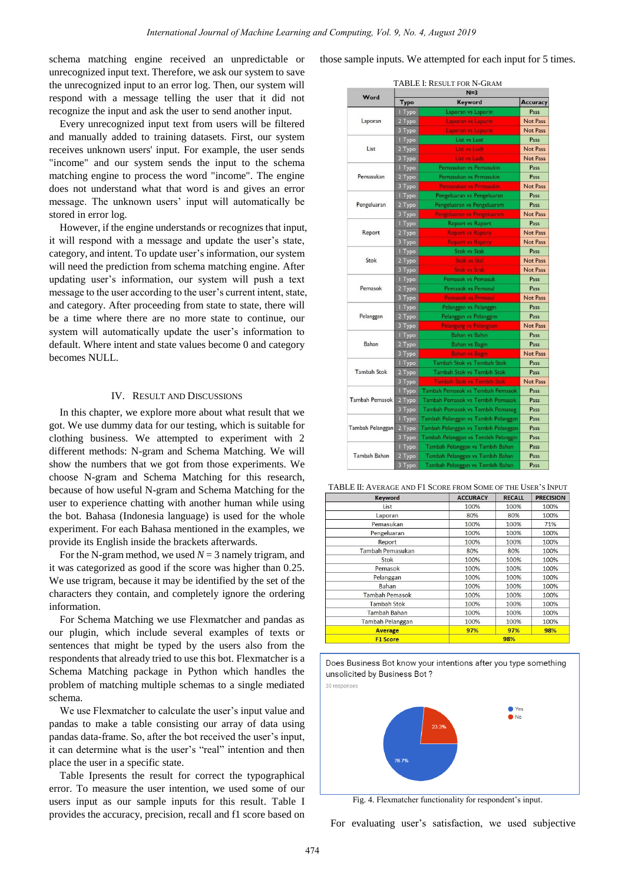schema matching engine received an unpredictable or unrecognized input text. Therefore, we ask our system to save the unrecognized input to an error log. Then, our system will respond with a message telling the user that it did not recognize the input and ask the user to send another input.

Every unrecognized input text from users will be filtered and manually added to training datasets. First, our system receives unknown users' input. For example, the user sends "income" and our system sends the input to the schema matching engine to process the word "income". The engine does not understand what that word is and gives an error message. The unknown users' input will automatically be stored in error log.

However, if the engine understands or recognizes that input, it will respond with a message and update the user's state, category, and intent. To update user's information, our system will need the prediction from schema matching engine. After updating user's information, our system will push a text message to the user according to the user's current intent, state, and category. After proceeding from state to state, there will be a time where there are no more state to continue, our system will automatically update the user's information to default. Where intent and state values become 0 and category becomes NULL.

## IV. RESULT AND DISCUSSIONS

In this chapter, we explore more about what result that we got. We use dummy data for our testing, which is suitable for clothing business. We attempted to experiment with 2 different methods: N-gram and Schema Matching. We will show the numbers that we got from those experiments. We choose N-gram and Schema Matching for this research, because of how useful N-gram and Schema Matching for the user to experience chatting with another human while using the bot. Bahasa (Indonesia language) is used for the whole experiment. For each Bahasa mentioned in the examples, we provide its English inside the brackets afterwards.

For the N-gram method, we used  $N = 3$  namely trigram, and it was categorized as good if the score was higher than 0.25. We use trigram, because it may be identified by the set of the characters they contain, and completely ignore the ordering information.

For Schema Matching we use Flexmatcher and pandas as our plugin, which include several examples of texts or sentences that might be typed by the users also from the respondents that already tried to use this bot. Flexmatcher is a Schema Matching package in Python which handles the problem of matching multiple schemas to a single mediated schema.

We use Flexmatcher to calculate the user's input value and pandas to make a table consisting our array of data using pandas data-frame. So, after the bot received the user's input, it can determine what is the user's "real" intention and then place the user in a specific state.

Table Ipresents the result for correct the typographical error. To measure the user intention, we used some of our users input as our sample inputs for this result. Table I provides the accuracy, precision, recall and f1 score based on those sample inputs. We attempted for each input for 5 times.

|                               |                                  | נ–צו                                                                                                                                                                                                                                                                                                                                                                                                                                                                                                                                                                                                                                                                                                                                                                                                                                 |                 |
|-------------------------------|----------------------------------|--------------------------------------------------------------------------------------------------------------------------------------------------------------------------------------------------------------------------------------------------------------------------------------------------------------------------------------------------------------------------------------------------------------------------------------------------------------------------------------------------------------------------------------------------------------------------------------------------------------------------------------------------------------------------------------------------------------------------------------------------------------------------------------------------------------------------------------|-----------------|
|                               | Word<br>Typo<br>Keyword          |                                                                                                                                                                                                                                                                                                                                                                                                                                                                                                                                                                                                                                                                                                                                                                                                                                      | Accuracy        |
|                               | I Typo                           | Laporan vs Laporin                                                                                                                                                                                                                                                                                                                                                                                                                                                                                                                                                                                                                                                                                                                                                                                                                   | Pass            |
| Laporan                       | 2 Typo                           | Laporan vs Lapurin                                                                                                                                                                                                                                                                                                                                                                                                                                                                                                                                                                                                                                                                                                                                                                                                                   | <b>Not Pass</b> |
|                               | 3 Туро                           | Laporan vs Lepurin                                                                                                                                                                                                                                                                                                                                                                                                                                                                                                                                                                                                                                                                                                                                                                                                                   | Not Pass        |
|                               | I Typo                           | List vs Lust                                                                                                                                                                                                                                                                                                                                                                                                                                                                                                                                                                                                                                                                                                                                                                                                                         | Pass            |
| List                          | 2 Туро                           | <b>List vs Ludt</b>                                                                                                                                                                                                                                                                                                                                                                                                                                                                                                                                                                                                                                                                                                                                                                                                                  | <b>Not Pass</b> |
|                               | 3 Туро                           | List vs Luds                                                                                                                                                                                                                                                                                                                                                                                                                                                                                                                                                                                                                                                                                                                                                                                                                         | Not Pass        |
|                               | Pemasukan vs Pemasukin<br>I Typo | Pass                                                                                                                                                                                                                                                                                                                                                                                                                                                                                                                                                                                                                                                                                                                                                                                                                                 |                 |
| Pemasukan                     | 2 Typo                           | Pemasukan vs Prmasukin                                                                                                                                                                                                                                                                                                                                                                                                                                                                                                                                                                                                                                                                                                                                                                                                               | Pass            |
|                               | 3 Typo                           | <b>Pemasukan vs Prmssukin</b>                                                                                                                                                                                                                                                                                                                                                                                                                                                                                                                                                                                                                                                                                                                                                                                                        | <b>Not Pass</b> |
|                               | I Typo                           | Pengeluaran vs Pengeluarsn                                                                                                                                                                                                                                                                                                                                                                                                                                                                                                                                                                                                                                                                                                                                                                                                           | Pass            |
| Pengeluaran                   | 2 Typo                           |                                                                                                                                                                                                                                                                                                                                                                                                                                                                                                                                                                                                                                                                                                                                                                                                                                      | Pass            |
|                               | 3 Туро                           | Pengeluaran vs Pnngeluarsm                                                                                                                                                                                                                                                                                                                                                                                                                                                                                                                                                                                                                                                                                                                                                                                                           | <b>Not Pass</b> |
|                               | I Typo                           |                                                                                                                                                                                                                                                                                                                                                                                                                                                                                                                                                                                                                                                                                                                                                                                                                                      | Pass            |
| Report                        | 2 Typo                           |                                                                                                                                                                                                                                                                                                                                                                                                                                                                                                                                                                                                                                                                                                                                                                                                                                      | <b>Not Pass</b> |
|                               | 3 Typo                           |                                                                                                                                                                                                                                                                                                                                                                                                                                                                                                                                                                                                                                                                                                                                                                                                                                      | <b>Not Pass</b> |
|                               | I Typo                           |                                                                                                                                                                                                                                                                                                                                                                                                                                                                                                                                                                                                                                                                                                                                                                                                                                      | Pass            |
| Stok                          | 2 Typo                           | <b>Stok vs Stal</b>                                                                                                                                                                                                                                                                                                                                                                                                                                                                                                                                                                                                                                                                                                                                                                                                                  | <b>Not Pass</b> |
|                               | 3 Туро                           |                                                                                                                                                                                                                                                                                                                                                                                                                                                                                                                                                                                                                                                                                                                                                                                                                                      | <b>Not Pass</b> |
|                               | I Typo                           | Pemasok vs Pemasuk                                                                                                                                                                                                                                                                                                                                                                                                                                                                                                                                                                                                                                                                                                                                                                                                                   | Pass            |
| Pemasok                       | 2 Typo                           |                                                                                                                                                                                                                                                                                                                                                                                                                                                                                                                                                                                                                                                                                                                                                                                                                                      | Pass            |
|                               | 3 Туро                           |                                                                                                                                                                                                                                                                                                                                                                                                                                                                                                                                                                                                                                                                                                                                                                                                                                      | <b>Not Pass</b> |
| I Typo<br>Pelanggan<br>2 Typo |                                  |                                                                                                                                                                                                                                                                                                                                                                                                                                                                                                                                                                                                                                                                                                                                                                                                                                      | Pass            |
|                               |                                  |                                                                                                                                                                                                                                                                                                                                                                                                                                                                                                                                                                                                                                                                                                                                                                                                                                      | Pass            |
|                               | 3 Туро                           |                                                                                                                                                                                                                                                                                                                                                                                                                                                                                                                                                                                                                                                                                                                                                                                                                                      | <b>Not Pass</b> |
|                               | I Typo                           | Pengeluaran vs Pengeluarsm<br><b>Report vs Raport</b><br><b>Report vs Rapory</b><br><b>Report vs Rapery</b><br><b>Stok vs Stak</b><br><b>Stok vs Srak</b><br>Pemasok vs Pemasul<br><b>Pemasok vs Prmasul</b><br>Pelanggan vs Pelanggin<br>Pelanggan vs Pelanggim<br><b>Pelangang vs Pelangcen</b><br><b>Bahan vs Bahin</b><br><b>Bahan vs Bagin</b><br><b>Bahan</b> vs Begin<br>Tambah Stok vs Tembah Stok<br><b>Tambah Stok vs Tembih Stok</b><br><b>Tambah Stok vs Tembih Stak</b><br>Tambah Pemasok vs Tembah Pemasok<br>Tambah Pemasok vs Tembih Pemasok<br>Tambah Pemaosk vs Tembih Pemasog<br>Tambah Pelanggan vs Tambih Pelanggan<br>Tambah Pelanggan vs Tembih Pelanggan<br>Tambah Pelanggan vs Tembih Pelanggin<br>Tambah Pelanggan vs Tambih Bahan<br>Tambah Pelanggan vs Tambih Bahsn<br>Tambah Pelanggan vs Tembih Bahsn | Pass            |
| Bahan                         | 2 Typo                           |                                                                                                                                                                                                                                                                                                                                                                                                                                                                                                                                                                                                                                                                                                                                                                                                                                      | Pass            |
|                               | 3 Туро                           |                                                                                                                                                                                                                                                                                                                                                                                                                                                                                                                                                                                                                                                                                                                                                                                                                                      | <b>Not Pass</b> |
|                               | I Typo                           |                                                                                                                                                                                                                                                                                                                                                                                                                                                                                                                                                                                                                                                                                                                                                                                                                                      | Pass            |
| <b>Tambah Stok</b>            | 2 Typo                           |                                                                                                                                                                                                                                                                                                                                                                                                                                                                                                                                                                                                                                                                                                                                                                                                                                      | Pass            |
|                               | 3 Туро                           |                                                                                                                                                                                                                                                                                                                                                                                                                                                                                                                                                                                                                                                                                                                                                                                                                                      | <b>Not Pass</b> |
| <b>Tambah Pemasok</b>         | I Typo                           |                                                                                                                                                                                                                                                                                                                                                                                                                                                                                                                                                                                                                                                                                                                                                                                                                                      | Pass            |
|                               | 2 Typo                           |                                                                                                                                                                                                                                                                                                                                                                                                                                                                                                                                                                                                                                                                                                                                                                                                                                      | Pass            |
|                               | 3 Туро                           |                                                                                                                                                                                                                                                                                                                                                                                                                                                                                                                                                                                                                                                                                                                                                                                                                                      | Pass            |
|                               | I Typo                           |                                                                                                                                                                                                                                                                                                                                                                                                                                                                                                                                                                                                                                                                                                                                                                                                                                      | Pass            |
| Tambah Pelanggan              | 2 Typo                           |                                                                                                                                                                                                                                                                                                                                                                                                                                                                                                                                                                                                                                                                                                                                                                                                                                      | Pass            |
|                               | 3 Туро                           |                                                                                                                                                                                                                                                                                                                                                                                                                                                                                                                                                                                                                                                                                                                                                                                                                                      | Pass            |
| Tambah Bahan                  | I Typo                           |                                                                                                                                                                                                                                                                                                                                                                                                                                                                                                                                                                                                                                                                                                                                                                                                                                      | Pass            |
|                               | 2 Typo                           |                                                                                                                                                                                                                                                                                                                                                                                                                                                                                                                                                                                                                                                                                                                                                                                                                                      | Pass            |
|                               | 3 Туро                           |                                                                                                                                                                                                                                                                                                                                                                                                                                                                                                                                                                                                                                                                                                                                                                                                                                      | Pass            |
|                               |                                  |                                                                                                                                                                                                                                                                                                                                                                                                                                                                                                                                                                                                                                                                                                                                                                                                                                      |                 |

TABLE I: RESULT FOR N-GRAM

TABLE II: AVERAGE AND F1 SCORE FROM SOME OF THE USER'S INPUT

| <b>Keyword</b>        | <b>ACCURACY</b> | <b>RECALL</b> | <b>PRECISION</b> |
|-----------------------|-----------------|---------------|------------------|
| List                  | 100%            | 100%          | 100%             |
| Laporan               | 80%             | 80%           | 100%             |
| Pemasukan             | 100%            | 100%          | 71%              |
| Pengeluaran           | 100%            | 100%          | 100%             |
| Report                | 100%            | 100%          | 100%             |
| Tambah Pemasukan      | 80%             | 80%           | 100%             |
| Stok                  | 100%            | 100%          | 100%             |
| Pemasok               | 100%            | 100%          | 100%             |
| Pelanggan             | 100%            | 100%          | 100%             |
| Bahan                 | 100%            | 100%          | 100%             |
| <b>Tambah Pemasok</b> | 100%            | 100%          | 100%             |
| <b>Tambah Stok</b>    | 100%            | 100%          | 100%             |
| <b>Tambah Bahan</b>   | 100%            | 100%          | 100%             |
| Tambah Pelanggan      | 100%            | 100%          | 100%             |
| <b>Average</b>        | 97%             | 97%           | 98%              |
| <b>F1 Score</b>       | 98%             |               |                  |





Fig. 4. Flexmatcher functionality for respondent's input.

For evaluating user's satisfaction, we used subjective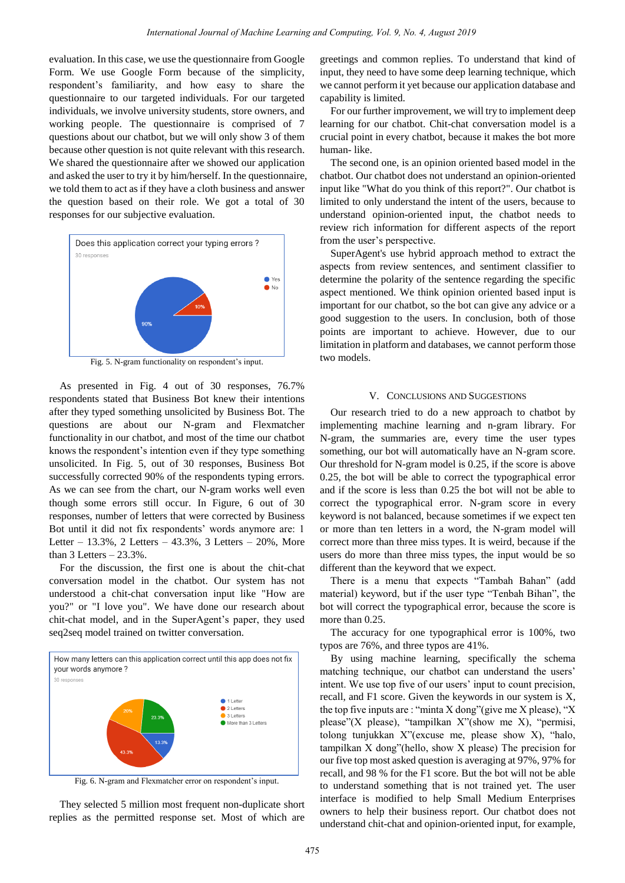evaluation. In this case, we use the questionnaire from Google Form. We use Google Form because of the simplicity, respondent's familiarity, and how easy to share the questionnaire to our targeted individuals. For our targeted individuals, we involve university students, store owners, and working people. The questionnaire is comprised of 7 questions about our chatbot, but we will only show 3 of them because other question is not quite relevant with this research. We shared the questionnaire after we showed our application and asked the user to try it by him/herself. In the questionnaire, we told them to act as if they have a cloth business and answer the question based on their role. We got a total of 30 responses for our subjective evaluation.



As presented in Fig. 4 out of 30 responses, 76.7% respondents stated that Business Bot knew their intentions after they typed something unsolicited by Business Bot. The questions are about our N-gram and Flexmatcher functionality in our chatbot, and most of the time our chatbot knows the respondent's intention even if they type something unsolicited. In Fig. 5, out of 30 responses, Business Bot successfully corrected 90% of the respondents typing errors. As we can see from the chart, our N-gram works well even though some errors still occur. In Figure, 6 out of 30 responses, number of letters that were corrected by Business Bot until it did not fix respondents' words anymore are: 1 Letter – 13.3%, 2 Letters – 43.3%, 3 Letters – 20%, More than  $3$  Letters  $-23.3\%$ .

For the discussion, the first one is about the chit-chat conversation model in the chatbot. Our system has not understood a chit-chat conversation input like "How are you?" or "I love you". We have done our research about chit-chat model, and in the SuperAgent's paper, they used seq2seq model trained on twitter conversation.



Fig. 6. N-gram and Flexmatcher error on respondent's input.

They selected 5 million most frequent non-duplicate short replies as the permitted response set. Most of which are

greetings and common replies. To understand that kind of input, they need to have some deep learning technique, which we cannot perform it yet because our application database and capability is limited.

For our further improvement, we will try to implement deep learning for our chatbot. Chit-chat conversation model is a crucial point in every chatbot, because it makes the bot more human- like.

The second one, is an opinion oriented based model in the chatbot. Our chatbot does not understand an opinion-oriented input like "What do you think of this report?". Our chatbot is limited to only understand the intent of the users, because to understand opinion-oriented input, the chatbot needs to review rich information for different aspects of the report from the user's perspective.

SuperAgent's use hybrid approach method to extract the aspects from review sentences, and sentiment classifier to determine the polarity of the sentence regarding the specific aspect mentioned. We think opinion oriented based input is important for our chatbot, so the bot can give any advice or a good suggestion to the users. In conclusion, both of those points are important to achieve. However, due to our limitation in platform and databases, we cannot perform those two models.

#### V. CONCLUSIONS AND SUGGESTIONS

Our research tried to do a new approach to chatbot by implementing machine learning and n-gram library. For N-gram, the summaries are, every time the user types something, our bot will automatically have an N-gram score. Our threshold for N-gram model is 0.25, if the score is above 0.25, the bot will be able to correct the typographical error and if the score is less than 0.25 the bot will not be able to correct the typographical error. N-gram score in every keyword is not balanced, because sometimes if we expect ten or more than ten letters in a word, the N-gram model will correct more than three miss types. It is weird, because if the users do more than three miss types, the input would be so different than the keyword that we expect.

There is a menu that expects "Tambah Bahan" (add material) keyword, but if the user type "Tenbah Bihan", the bot will correct the typographical error, because the score is more than 0.25.

The accuracy for one typographical error is 100%, two typos are 76%, and three typos are 41%.

By using machine learning, specifically the schema matching technique, our chatbot can understand the users' intent. We use top five of our users' input to count precision, recall, and F1 score. Given the keywords in our system is X, the top five inputs are : "minta X dong" (give me X please), "X please"(X please), "tampilkan X"(show me X), "permisi, tolong tunjukkan X"(excuse me, please show X), "halo, tampilkan X dong"(hello, show X please) The precision for our five top most asked question is averaging at 97%, 97% for recall, and 98 % for the F1 score. But the bot will not be able to understand something that is not trained yet. The user interface is modified to help Small Medium Enterprises owners to help their business report. Our chatbot does not understand chit-chat and opinion-oriented input, for example,